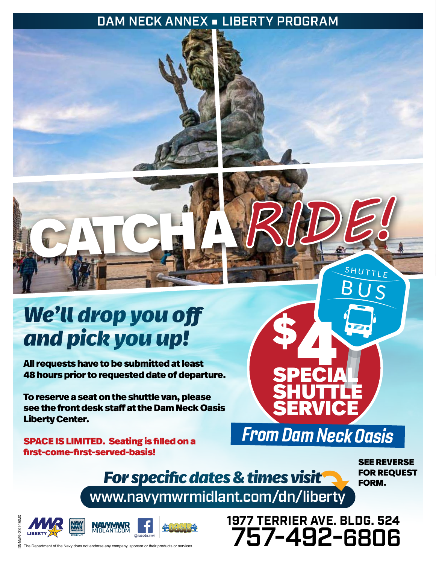## DAM NECK ANNEX ■ LIBERTY PROGRAM



## *We'll drop you off and pick you up!*

All requests have to be submitted at least 48 hours prior to requested date of departure.

To reserve a seat on the shuttle van, please see the front desk staff at the Dam Neck Oasis Liberty Center.

SPACE IS LIMITED. Seating is filled on a first-come-first-served-basis!

> *For specific dates & times visit* www.navymwrmidlant.com/dn/liberty

**SPECIA** 

SPECIAL

**SHUTTLE** 

**SERVICE** 

From Dam Neck Oasis

SEE REVERSE FOR REQUEST

FORM.

SHUTTLE

**1977 TERRIER AVE. BLDG. 524**

757-492-6806

DN-MWR--2001-180MD